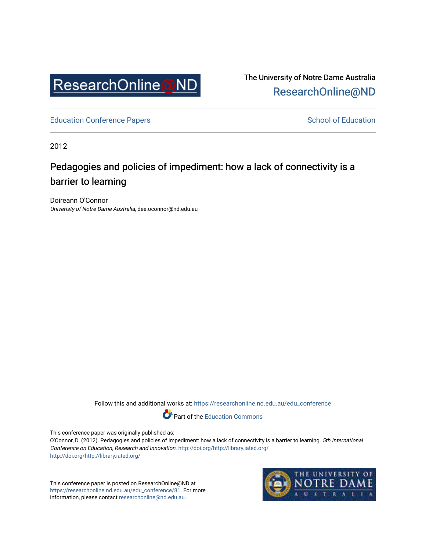

The University of Notre Dame Australia [ResearchOnline@ND](https://researchonline.nd.edu.au/) 

[Education Conference Papers](https://researchonline.nd.edu.au/edu_conference) **School of Education** School of Education

2012

# Pedagogies and policies of impediment: how a lack of connectivity is a barrier to learning

Doireann O'Connor Univeristy of Notre Dame Australia, dee.oconnor@nd.edu.au

Follow this and additional works at: [https://researchonline.nd.edu.au/edu\\_conference](https://researchonline.nd.edu.au/edu_conference?utm_source=researchonline.nd.edu.au%2Fedu_conference%2F81&utm_medium=PDF&utm_campaign=PDFCoverPages)

**Part of the Education Commons** 

This conference paper was originally published as:

O'Connor, D. (2012). Pedagogies and policies of impediment: how a lack of connectivity is a barrier to learning. 5th International Conference on Education, Research and Innovation.<http://doi.org/http://library.iated.org/> <http://doi.org/http://library.iated.org/>

This conference paper is posted on ResearchOnline@ND at [https://researchonline.nd.edu.au/edu\\_conference/81.](https://researchonline.nd.edu.au/edu_conference/81) For more information, please contact [researchonline@nd.edu.au.](mailto:researchonline@nd.edu.au)

![](_page_0_Picture_12.jpeg)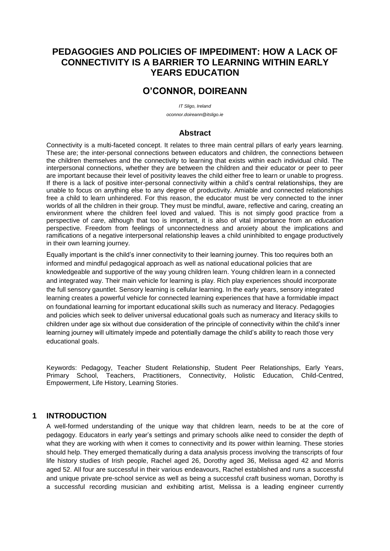# **PEDAGOGIES AND POLICIES OF IMPEDIMENT: HOW A LACK OF CONNECTIVITY IS A BARRIER TO LEARNING WITHIN EARLY YEARS EDUCATION**

## **O'CONNOR, DOIREANN**

*IT Sligo, Ireland oconnor.doireann@itsligo.ie*

#### **Abstract**

Connectivity is a multi-faceted concept. It relates to three main central pillars of early years learning. These are; the inter-personal connections between educators and children, the connections between the children themselves and the connectivity to learning that exists within each individual child. The interpersonal connections, whether they are between the children and their educator or peer to peer are important because their level of positivity leaves the child either free to learn or unable to progress. If there is a lack of positive inter-personal connectivity within a child's central relationships, they are unable to focus on anything else to any degree of productivity. Amiable and connected relationships free a child to learn unhindered. For this reason, the educator must be very connected to the inner worlds of all the children in their group. They must be mindful, aware, reflective and caring, creating an environment where the children feel loved and valued. This is not simply good practice from a perspective of *care*, although that too is important, it is also of vital importance from an *education* perspective. Freedom from feelings of unconnectedness and anxiety about the implications and ramifications of a negative interpersonal relationship leaves a child uninhibited to engage productively in their own learning journey.

Equally important is the child's inner connectivity to their learning journey. This too requires both an informed and mindful pedagogical approach as well as national educational policies that are knowledgeable and supportive of the way young children learn. Young children learn in a connected and integrated way. Their main vehicle for learning is play. Rich play experiences should incorporate the full sensory gauntlet. Sensory learning is cellular learning. In the early years, sensory integrated learning creates a powerful vehicle for connected learning experiences that have a formidable impact on foundational learning for important educational skills such as numeracy and literacy. Pedagogies and policies which seek to deliver universal educational goals such as numeracy and literacy skills to children under age six without due consideration of the principle of connectivity within the child's inner learning journey will ultimately impede and potentially damage the child's ability to reach those very educational goals.

Keywords: Pedagogy, Teacher Student Relationship, Student Peer Relationships, Early Years, Primary School, Teachers, Practitioners, Connectivity, Holistic Education, Child-Centred, Empowerment, Life History, Learning Stories.

#### **1 INTRODUCTION**

A well-formed understanding of the unique way that children learn, needs to be at the core of pedagogy. Educators in early year's settings and primary schools alike need to consider the depth of what they are working with when it comes to connectivity and its power within learning. These stories should help. They emerged thematically during a data analysis process involving the transcripts of four life history studies of Irish people, Rachel aged 26, Dorothy aged 36, Melissa aged 42 and Morris aged 52. All four are successful in their various endeavours, Rachel established and runs a successful and unique private pre-school service as well as being a successful craft business woman, Dorothy is a successful recording musician and exhibiting artist, Melissa is a leading engineer currently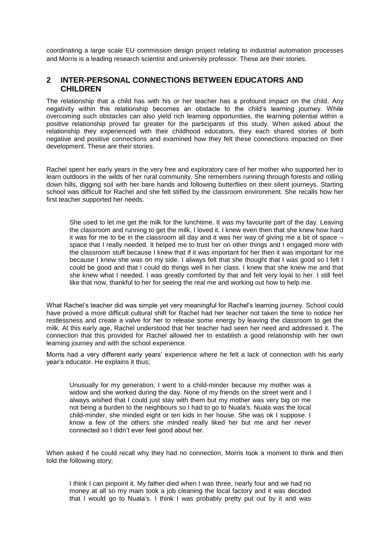coordinating a large scale EU commission design project relating to industrial automation processes and Morris is a leading research scientist and university professor. These are their stories.

#### **2 INTER-PERSONAL CONNECTIONS BETWEEN EDUCATORS AND CHILDREN**

The relationship that a child has with his or her teacher has a profound impact on the child. Any negativity within this relationship becomes an obstacle to the child's learning journey. While overcoming such obstacles can also yield rich learning opportunities, the learning potential within a positive relationship proved far greater for the participants of this study. When asked about the relationship they experienced with their childhood educators, they each shared stories of both negative and positive connections and examined how they felt these connections impacted on their development. These are their stories.

Rachel spent her early years in the very free and exploratory care of her mother who supported her to learn outdoors in the wilds of her rural community. She remembers running through forests and rolling down hills, digging soil with her bare hands and following butterflies on their silent journeys. Starting school was difficult for Rachel and she felt stifled by the classroom environment. She recalls how her first teacher supported her needs.

She used to let me get the milk for the lunchtime. It was my favourite part of the day. Leaving the classroom and running to get the milk, I loved it. I knew even then that she knew how hard it was for me to be in the classroom all day and it was her way of giving me a bit of space – space that I really needed. It helped me to trust her on other things and I engaged more with the classroom stuff because I knew that if it was important for her then it was important for me because I knew she was on my side. I always felt that she thought that I was good so I felt I could be good and that I could do things well in her class. I knew that she knew me and that she knew what I needed. I was greatly comforted by that and felt very loyal to her. I still feel like that now, thankful to her for seeing the real me and working out how to help me.

What Rachel's teacher did was simple yet very meaningful for Rachel's learning journey. School could have proved a more difficult cultural shift for Rachel had her teacher not taken the time to notice her restlessness and create a valve for her to release some energy by leaving the classroom to get the milk. At this early age, Rachel understood that her teacher had seen her need and addressed it. The connection that this provided for Rachel allowed her to establish a good relationship with her own learning journey and with the school experience.

Morris had a very different early years' experience where he felt a lack of connection with his early year's educator. He explains it thus;

Unusually for my generation, I went to a child-minder because my mother was a widow and she worked during the day. None of my friends on the street went and I always wished that I could just stay with them but my mother was very big on me not being a burden to the neighbours so I had to go to Nuala's. Nuala was the local child-minder, she minded eight or ten kids in her house. She was ok I suppose. I know a few of the others she minded really liked her but me and her never connected so I didn't ever feel good about her.

When asked if he could recall why they had no connection, Morris took a moment to think and then told the following story;

I think I can pinpoint it. My father died when I was three, nearly four and we had no money at all so my mam took a job cleaning the local factory and it was decided that I would go to Nuala's. I think I was probably pretty put out by it and was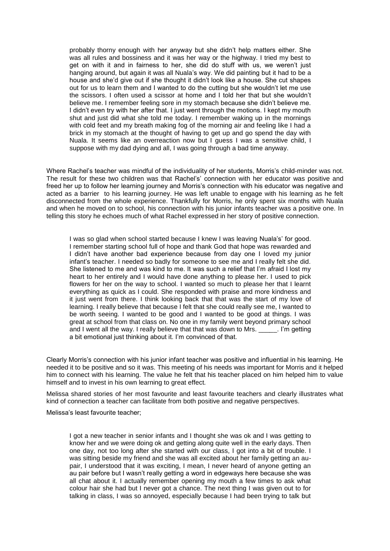probably thorny enough with her anyway but she didn't help matters either. She was all rules and bossiness and it was her way or the highway. I tried my best to get on with it and in fairness to her, she did do stuff with us, we weren't just hanging around, but again it was all Nuala's way. We did painting but it had to be a house and she'd give out if she thought it didn't look like a house. She cut shapes out for us to learn them and I wanted to do the cutting but she wouldn't let me use the scissors. I often used a scissor at home and I told her that but she wouldn't believe me. I remember feeling sore in my stomach because she didn't believe me. I didn't even try with her after that. I just went through the motions. I kept my mouth shut and just did what she told me today. I remember waking up in the mornings with cold feet and my breath making fog of the morning air and feeling like I had a brick in my stomach at the thought of having to get up and go spend the day with Nuala. It seems like an overreaction now but I guess I was a sensitive child, I suppose with my dad dying and all, I was going through a bad time anyway.

Where Rachel's teacher was mindful of the individuality of her students, Morris's child-minder was not. The result for these two children was that Rachel's' connection with her educator was positive and freed her up to follow her learning journey and Morris's connection with his educator was negative and acted as a barrier to his learning journey. He was left unable to engage with his learning as he felt disconnected from the whole experience. Thankfully for Morris, he only spent six months with Nuala and when he moved on to school, his connection with his junior infants teacher was a positive one. In telling this story he echoes much of what Rachel expressed in her story of positive connection.

I was so glad when school started because I knew I was leaving Nuala's' for good. I remember starting school full of hope and thank God that hope was rewarded and I didn't have another bad experience because from day one I loved my junior infant's teacher. I needed so badly for someone to see me and I really felt she did. She listened to me and was kind to me. It was such a relief that I'm afraid I lost my heart to her entirely and I would have done anything to please her. I used to pick flowers for her on the way to school. I wanted so much to please her that I learnt everything as quick as I could. She responded with praise and more kindness and it just went from there. I think looking back that that was the start of my love of learning. I really believe that because I felt that she could really see me, I wanted to be worth seeing. I wanted to be good and I wanted to be good at things. I was great at school from that class on. No one in my family went beyond primary school and I went all the way. I really believe that that was down to Mrs. \_\_\_\_\_. I'm getting a bit emotional just thinking about it. I'm convinced of that.

Clearly Morris's connection with his junior infant teacher was positive and influential in his learning. He needed it to be positive and so it was. This meeting of his needs was important for Morris and it helped him to connect with his learning. The value he felt that his teacher placed on him helped him to value himself and to invest in his own learning to great effect.

Melissa shared stories of her most favourite and least favourite teachers and clearly illustrates what kind of connection a teacher can facilitate from both positive and negative perspectives.

Melissa's least favourite teacher;

I got a new teacher in senior infants and I thought she was ok and I was getting to know her and we were doing ok and getting along quite well in the early days. Then one day, not too long after she started with our class, I got into a bit of trouble. I was sitting beside my friend and she was all excited about her family getting an aupair, I understood that it was exciting, I mean, I never heard of anyone getting an au pair before but I wasn't really getting a word in edgeways here because she was all chat about it. I actually remember opening my mouth a few times to ask what colour hair she had but I never got a chance. The next thing I was given out to for talking in class, I was so annoyed, especially because I had been trying to talk but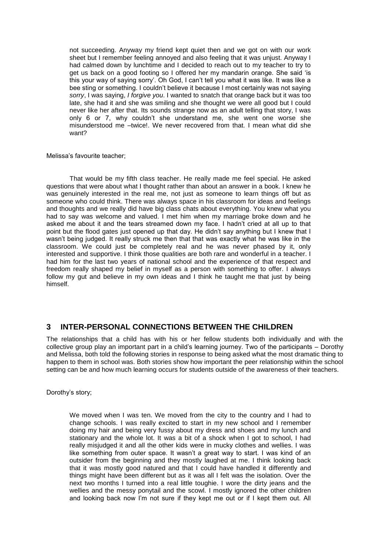not succeeding. Anyway my friend kept quiet then and we got on with our work sheet but I remember feeling annoyed and also feeling that it was unjust. Anyway I had calmed down by lunchtime and I decided to reach out to my teacher to try to get us back on a good footing so I offered her my mandarin orange. She said 'is this your way of saying sorry'. Oh God, I can't tell you what it was like. It was like a bee sting or something. I couldn't believe it because I most certainly was not saying *sorry*, I was saying, *I forgive you*. I wanted to snatch that orange back but it was too late, she had it and she was smiling and she thought we were all good but I could never like her after that. Its sounds strange now as an adult telling that story, I was only 6 or 7, why couldn't she understand me, she went one worse she misunderstood me –twice!. We never recovered from that. I mean what did she want?

Melissa's favourite teacher;

That would be my fifth class teacher. He really made me feel special. He asked questions that were about what I thought rather than about an answer in a book. I knew he was genuinely interested in the real me, not just as someone to learn things off but as someone who could think. There was always space in his classroom for ideas and feelings and thoughts and we really did have big class chats about everything. You knew what you had to say was welcome and valued. I met him when my marriage broke down and he asked me about it and the tears streamed down my face. I hadn't cried at all up to that point but the flood gates just opened up that day. He didn't say anything but I knew that I wasn't being judged. It really struck me then that that was exactly what he was like in the classroom. We could just be completely real and he was never phased by it, only interested and supportive. I think those qualities are both rare and wonderful in a teacher. I had him for the last two years of national school and the experience of that respect and freedom really shaped my belief in myself as a person with something to offer. I always follow my gut and believe in my own ideas and I think he taught me that just by being himself.

#### **3 INTER-PERSONAL CONNECTIONS BETWEEN THE CHILDREN**

The relationships that a child has with his or her fellow students both individually and with the collective group play an important part in a child's learning journey. Two of the participants – Dorothy and Melissa, both told the following stories in response to being asked what the most dramatic thing to happen to them in school was. Both stories show how important the peer relationship within the school setting can be and how much learning occurs for students outside of the awareness of their teachers.

Dorothy's story;

We moved when I was ten. We moved from the city to the country and I had to change schools. I was really excited to start in my new school and I remember doing my hair and being very fussy about my dress and shoes and my lunch and stationary and the whole lot. It was a bit of a shock when I got to school, I had really misjudged it and all the other kids were in mucky clothes and wellies. I was like something from outer space. It wasn't a great way to start. I was kind of an outsider from the beginning and they mostly laughed at me. I think looking back that it was mostly good natured and that I could have handled it differently and things might have been different but as it was all I felt was the isolation. Over the next two months I turned into a real little toughie. I wore the dirty jeans and the wellies and the messy ponytail and the scowl. I mostly ignored the other children and looking back now I'm not sure if they kept me out or if I kept them out. All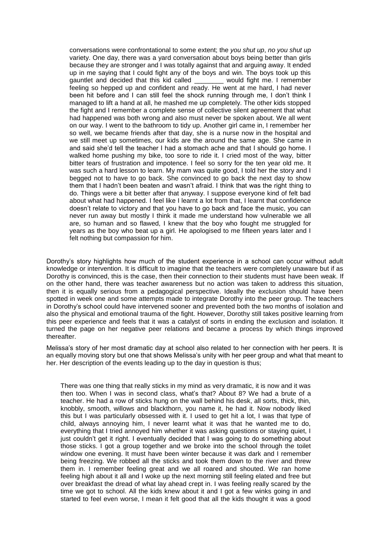conversations were confrontational to some extent; the *you shut up*, *no you shut up* variety. One day, there was a yard conversation about boys being better than girls because they are stronger and I was totally against that and arguing away. It ended up in me saying that I could fight any of the boys and win. The boys took up this gauntlet and decided that this kid called \_\_\_\_\_\_\_\_ would fight me. I remember feeling so hepped up and confident and ready. He went at me hard, I had never been hit before and I can still feel the shock running through me, I don't think I managed to lift a hand at all, he mashed me up completely. The other kids stopped the fight and I remember a complete sense of collective silent agreement that what had happened was both wrong and also must never be spoken about. We all went on our way. I went to the bathroom to tidy up. Another girl came in, I remember her so well, we became friends after that day, she is a nurse now in the hospital and we still meet up sometimes, our kids are the around the same age. She came in and said she'd tell the teacher I had a stomach ache and that I should go home. I walked home pushing my bike, too sore to ride it. I cried most of the way, bitter bitter tears of frustration and impotence. I feel so sorry for the ten year old me. It was such a hard lesson to learn. My mam was quite good, I told her the story and I begged not to have to go back. She convinced to go back the next day to show them that I hadn't been beaten and wasn't afraid. I think that was the right thing to do. Things were a bit better after that anyway. I suppose everyone kind of felt bad about what had happened. I feel like I learnt a lot from that, I learnt that confidence doesn't relate to victory and that you have to go back and face the music, you can never run away but mostly I think it made me understand how vulnerable we all are, so human and so flawed, I knew that the boy who fought me struggled for years as the boy who beat up a girl. He apologised to me fifteen years later and I felt nothing but compassion for him.

Dorothy's story highlights how much of the student experience in a school can occur without adult knowledge or intervention. It is difficult to imagine that the teachers were completely unaware but if as Dorothy is convinced, this is the case, then their connection to their students must have been weak. If on the other hand, there was teacher awareness but no action was taken to address this situation, then it is equally serious from a pedagogical perspective. Ideally the exclusion should have been spotted in week one and some attempts made to integrate Dorothy into the peer group. The teachers in Dorothy's school could have intervened sooner and prevented both the two months of isolation and also the physical and emotional trauma of the fight. However, Dorothy still takes positive learning from this peer experience and feels that it was a catalyst of sorts in ending the exclusion and isolation. It turned the page on her negative peer relations and became a process by which things improved thereafter.

Melissa's story of her most dramatic day at school also related to her connection with her peers. It is an equally moving story but one that shows Melissa's unity with her peer group and what that meant to her. Her description of the events leading up to the day in question is thus;

There was one thing that really sticks in my mind as very dramatic, it is now and it was then too. When I was in second class, what's that? About 8? We had a brute of a teacher. He had a row of sticks hung on the wall behind his desk, all sorts, thick, thin, knobbly, smooth, willows and blackthorn, you name it, he had it. Now nobody liked this but I was particularly obsessed with it. I used to get hit a lot, I was that type of child, always annoying him, I never learnt what it was that he wanted me to do, everything that I tried annoyed him whether it was asking questions or staying quiet, I just couldn't get it right. I eventually decided that I was going to do something about those sticks. I got a group together and we broke into the school through the toilet window one evening. It must have been winter because it was dark and I remember being freezing. We robbed all the sticks and took them down to the river and threw them in. I remember feeling great and we all roared and shouted. We ran home feeling high about it all and I woke up the next morning still feeling elated and free but over breakfast the dread of what lay ahead crept in. I was feeling really scared by the time we got to school. All the kids knew about it and I got a few winks going in and started to feel even worse, I mean it felt good that all the kids thought it was a good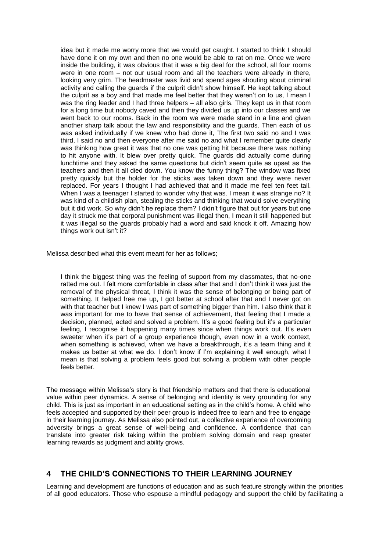idea but it made me worry more that we would get caught. I started to think I should have done it on my own and then no one would be able to rat on me. Once we were inside the building, it was obvious that it was a big deal for the school, all four rooms were in one room – not our usual room and all the teachers were already in there, looking very grim. The headmaster was livid and spend ages shouting about criminal activity and calling the guards if the culprit didn't show himself. He kept talking about the culprit as a boy and that made me feel better that they weren't on to us, I mean I was the ring leader and I had three helpers – all also girls. They kept us in that room for a long time but nobody caved and then they divided us up into our classes and we went back to our rooms. Back in the room we were made stand in a line and given another sharp talk about the law and responsibility and the guards. Then each of us was asked individually if we knew who had done it, The first two said no and I was third, I said no and then everyone after me said no and what I remember quite clearly was thinking how great it was that no one was getting hit because there was nothing to hit anyone with. It blew over pretty quick. The guards did actually come during lunchtime and they asked the same questions but didn't seem quite as upset as the teachers and then it all died down. You know the funny thing? The window was fixed pretty quickly but the holder for the sticks was taken down and they were never replaced. For years I thought I had achieved that and it made me feel ten feet tall. When I was a teenager I started to wonder why that was. I mean it was strange no? It was kind of a childish plan, stealing the sticks and thinking that would solve everything but it did work. So why didn't he replace them? I didn't figure that out for years but one day it struck me that corporal punishment was illegal then, I mean it still happened but it was illegal so the guards probably had a word and said knock it off. Amazing how things work out isn't it?

Melissa described what this event meant for her as follows;

I think the biggest thing was the feeling of support from my classmates, that no-one ratted me out. I felt more comfortable in class after that and I don't think it was just the removal of the physical threat, I think it was the sense of belonging or being part of something. It helped free me up, I got better at school after that and I never got on with that teacher but I knew I was part of something bigger than him. I also think that it was important for me to have that sense of achievement, that feeling that I made a decision, planned, acted and solved a problem. It's a good feeling but it's a particular feeling, I recognise it happening many times since when things work out. It's even sweeter when it's part of a group experience though, even now in a work context, when something is achieved, when we have a breakthrough, it's a team thing and it makes us better at what we do. I don't know if I'm explaining it well enough, what I mean is that solving a problem feels good but solving a problem with other people feels better.

The message within Melissa's story is that friendship matters and that there is educational value within peer dynamics. A sense of belonging and identity is very grounding for any child. This is just as important in an educational setting as in the child's home. A child who feels accepted and supported by their peer group is indeed free to learn and free to engage in their learning journey. As Melissa also pointed out, a collective experience of overcoming adversity brings a great sense of well-being and confidence. A confidence that can translate into greater risk taking within the problem solving domain and reap greater learning rewards as judgment and ability grows.

### **4 THE CHILD'S CONNECTIONS TO THEIR LEARNING JOURNEY**

Learning and development are functions of education and as such feature strongly within the priorities of all good educators. Those who espouse a mindful pedagogy and support the child by facilitating a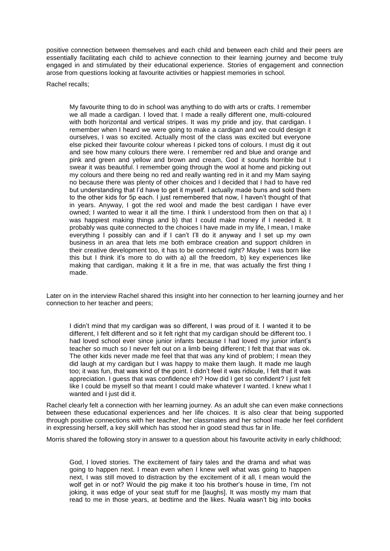positive connection between themselves and each child and between each child and their peers are essentially facilitating each child to achieve connection to their learning journey and become truly engaged in and stimulated by their educational experience. Stories of engagement and connection arose from questions looking at favourite activities or happiest memories in school.

Rachel recalls;

My favourite thing to do in school was anything to do with arts or crafts. I remember we all made a cardigan. I loved that. I made a really different one, multi-coloured with both horizontal and vertical stripes. It was my pride and joy, that cardigan. I remember when I heard we were going to make a cardigan and we could design it ourselves, I was so excited. Actually most of the class was excited but everyone else picked their favourite colour whereas I picked tons of colours. I must dig it out and see how many colours there were. I remember red and blue and orange and pink and green and yellow and brown and cream, God it sounds horrible but I swear it was beautiful. I remember going through the wool at home and picking out my colours and there being no red and really wanting red in it and my Mam saying no because there was plenty of other choices and I decided that I had to have red but understanding that I'd have to get it myself. I actually made buns and sold them to the other kids for 5p each. I just remembered that now, I haven't thought of that in years. Anyway, I got the red wool and made the best cardigan I have ever owned; I wanted to wear it all the time. I think I understood from then on that a) I was happiest making things and b) that I could make money if I needed it. It probably was quite connected to the choices I have made in my life, I mean, I make everything I possibly can and if I can't I'll do it anyway and I set up my own business in an area that lets me both embrace creation and support children in their creative development too, it has to be connected right? Maybe I was born like this but I think it's more to do with a) all the freedom, b) key experiences like making that cardigan, making it lit a fire in me, that was actually the first thing I made.

Later on in the interview Rachel shared this insight into her connection to her learning journey and her connection to her teacher and peers;

I didn't mind that my cardigan was so different, I was proud of it. I wanted it to be different, I felt different and so it felt right that my cardigan should be different too. I had loved school ever since junior infants because I had loved my junior infant's teacher so much so I never felt out on a limb being different; I felt that that was ok. The other kids never made me feel that that was any kind of problem; I mean they did laugh at my cardigan but I was happy to make them laugh. It made me laugh too; it was fun, that was kind of the point. I didn't feel it was ridicule, I felt that it was appreciation. I guess that was confidence eh? How did I get so confident? I just felt like I could be myself so that meant I could make whatever I wanted. I knew what I wanted and I just did it.

Rachel clearly felt a connection with her learning journey. As an adult she can even make connections between these educational experiences and her life choices. It is also clear that being supported through positive connections with her teacher, her classmates and her school made her feel confident in expressing herself, a key skill which has stood her in good stead thus far in life.

Morris shared the following story in answer to a question about his favourite activity in early childhood;

God, I loved stories. The excitement of fairy tales and the drama and what was going to happen next. I mean even when I knew well what was going to happen next, I was still moved to distraction by the excitement of it all, I mean would the wolf get in or not? Would the pig make it too his brother's house in time, I'm not joking, it was edge of your seat stuff for me [laughs]. It was mostly my mam that read to me in those years, at bedtime and the likes. Nuala wasn't big into books